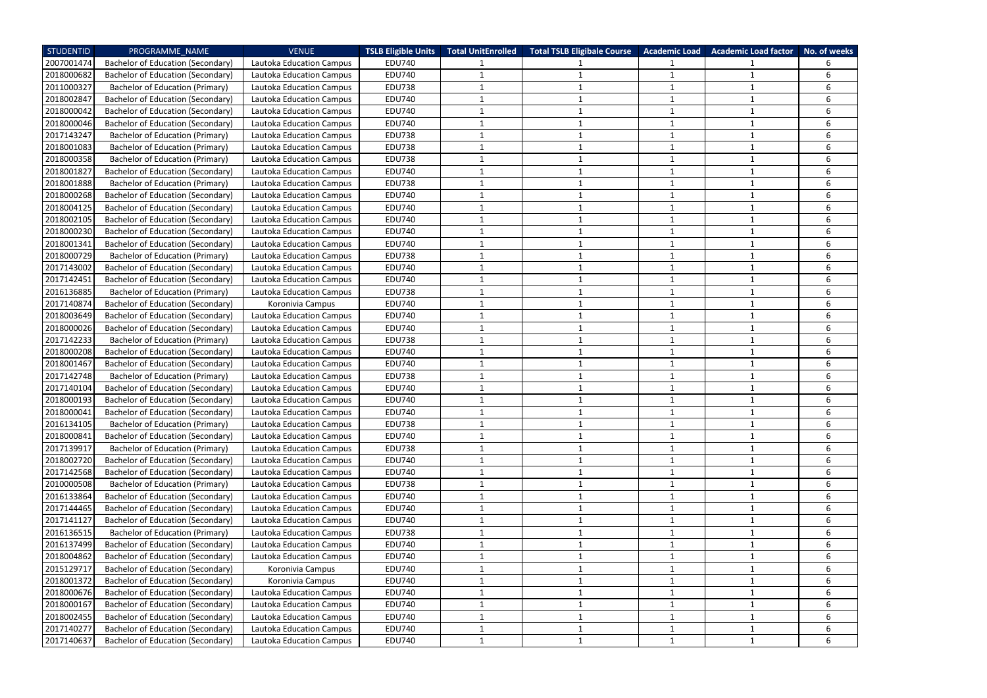| <b>STUDENTID</b> | PROGRAMME NAME                           | <b>VENUE</b>                    | <b>TSLB Eligible Units</b> | <b>Total UnitEnrolled</b> | <b>Total TSLB Eligibale Course</b> | <b>Academic Load</b> | <b>Academic Load factor</b> | No. of weeks |
|------------------|------------------------------------------|---------------------------------|----------------------------|---------------------------|------------------------------------|----------------------|-----------------------------|--------------|
| 2007001474       | <b>Bachelor of Education (Secondary)</b> | Lautoka Education Campus        | <b>EDU740</b>              |                           |                                    |                      |                             |              |
| 2018000682       | <b>Bachelor of Education (Secondary)</b> | Lautoka Education Campus        | <b>EDU740</b>              | 1                         |                                    | -1                   | 1                           | 6            |
| 2011000327       | <b>Bachelor of Education (Primary)</b>   | Lautoka Education Campus        | <b>EDU738</b>              | 1                         |                                    | $\mathbf{1}$         | $\mathbf{1}$                | 6            |
| 2018002847       | Bachelor of Education (Secondary)        | <b>Lautoka Education Campus</b> | <b>EDU740</b>              | 1                         |                                    |                      |                             | 6            |
| 2018000042       | <b>Bachelor of Education (Secondary)</b> | Lautoka Education Campus        | <b>EDU740</b>              |                           |                                    |                      |                             | 6            |
| 2018000046       | Bachelor of Education (Secondary)        | Lautoka Education Campus        | <b>EDU740</b>              | 1                         |                                    | 1                    |                             | 6            |
| 2017143247       | <b>Bachelor of Education (Primary)</b>   | <b>Lautoka Education Campus</b> | <b>EDU738</b>              | 1                         |                                    | -1                   |                             | 6            |
| 2018001083       | <b>Bachelor of Education (Primary)</b>   | Lautoka Education Campus        | <b>EDU738</b>              | 1                         |                                    | 1                    |                             | 6            |
| 2018000358       | <b>Bachelor of Education (Primary)</b>   | Lautoka Education Campus        | <b>EDU738</b>              | 1                         |                                    | 1                    |                             | 6            |
| 2018001827       | <b>Bachelor of Education (Secondary)</b> | Lautoka Education Campus        | <b>EDU740</b>              | 1                         |                                    | 1                    |                             | 6            |
| 2018001888       | <b>Bachelor of Education (Primary)</b>   | Lautoka Education Campus        | <b>EDU738</b>              | 1                         |                                    | $\mathbf{1}$         |                             | 6            |
| 2018000268       | <b>Bachelor of Education (Secondary)</b> | Lautoka Education Campus        | <b>EDU740</b>              | 1                         |                                    | $\mathbf{1}$         |                             | 6            |
| 2018004125       | Bachelor of Education (Secondary)        | Lautoka Education Campus        | <b>EDU740</b>              | 1                         |                                    | $\overline{1}$       |                             | 6            |
| 2018002105       | Bachelor of Education (Secondary)        | Lautoka Education Campus        | <b>EDU740</b>              | 1                         |                                    | -1                   |                             | 6            |
| 2018000230       | <b>Bachelor of Education (Secondary)</b> | <b>Lautoka Education Campus</b> | <b>EDU740</b>              | 1                         |                                    | $\mathbf{1}$         |                             | 6            |
| 2018001341       | <b>Bachelor of Education (Secondary)</b> | Lautoka Education Campus        | <b>EDU740</b>              | 1                         |                                    | $\mathbf{1}$         |                             | 6            |
| 2018000729       | <b>Bachelor of Education (Primary)</b>   | Lautoka Education Campus        | <b>EDU738</b>              | 1                         |                                    | -1                   |                             | 6            |
| 2017143002       | <b>Bachelor of Education (Secondary)</b> | Lautoka Education Campus        | <b>EDU740</b>              | 1                         |                                    |                      |                             | 6            |
| 2017142451       | <b>Bachelor of Education (Secondary)</b> | Lautoka Education Campus        | <b>EDU740</b>              | 1                         |                                    | 1                    |                             | 6            |
| 2016136885       | <b>Bachelor of Education (Primary)</b>   | Lautoka Education Campus        | <b>EDU738</b>              | 1                         |                                    | -1                   |                             | 6            |
| 2017140874       | <b>Bachelor of Education (Secondary)</b> | Koronivia Campus                | <b>EDU740</b>              | 1                         |                                    | 1                    |                             | 6            |
| 2018003649       | <b>Bachelor of Education (Secondary)</b> | Lautoka Education Campus        | <b>EDU740</b>              | 1                         |                                    | 1                    |                             | 6            |
| 2018000026       | Bachelor of Education (Secondary)        | Lautoka Education Campus        | <b>EDU740</b>              | 1                         |                                    |                      |                             | 6            |
| 2017142233       | <b>Bachelor of Education (Primary)</b>   | Lautoka Education Campus        | <b>EDU738</b>              | 1                         |                                    |                      |                             | 6            |
| 2018000208       | Bachelor of Education (Secondary)        | Lautoka Education Campus        | <b>EDU740</b>              | 1                         |                                    | $\mathbf{1}$         |                             | 6            |
| 2018001467       | Bachelor of Education (Secondary)        | Lautoka Education Campus        | <b>EDU740</b>              | 1                         |                                    | $\overline{1}$       |                             | 6            |
| 2017142748       | <b>Bachelor of Education (Primary)</b>   | Lautoka Education Campus        | <b>EDU738</b>              | 1                         |                                    |                      |                             | 6            |
| 2017140104       | Bachelor of Education (Secondary)        | <b>Lautoka Education Campus</b> | <b>EDU740</b>              | 1                         |                                    | 1                    |                             | 6            |
| 2018000193       | <b>Bachelor of Education (Secondary)</b> | Lautoka Education Campus        | <b>EDU740</b>              | 1                         |                                    | $\mathbf{1}$         | $\mathbf{1}$                | 6            |
| 2018000041       | Bachelor of Education (Secondary)        | Lautoka Education Campus        | <b>EDU740</b>              |                           |                                    |                      |                             | 6            |
| 2016134105       | <b>Bachelor of Education (Primary)</b>   | Lautoka Education Campus        | <b>EDU738</b>              | 1                         |                                    | $\mathbf{1}$         | 1                           | 6            |
| 2018000841       | <b>Bachelor of Education (Secondary)</b> | Lautoka Education Campus        | <b>EDU740</b>              | $\mathbf 1$               |                                    | $\mathbf{1}$         |                             | 6            |
| 2017139917       | <b>Bachelor of Education (Primary)</b>   | Lautoka Education Campus        | <b>EDU738</b>              | $\mathbf{1}$              |                                    | $\mathbf{1}$         |                             | 6            |
| 2018002720       | <b>Bachelor of Education (Secondary)</b> | Lautoka Education Campus        | <b>EDU740</b>              | $\mathbf{1}$              | 1                                  | $\mathbf{1}$         | 1                           | 6            |
| 2017142568       | <b>Bachelor of Education (Secondary)</b> | Lautoka Education Campus        | <b>EDU740</b>              | 1                         |                                    | $\mathbf{1}$         |                             | 6            |
| 2010000508       | <b>Bachelor of Education (Primary)</b>   | Lautoka Education Campus        | <b>EDU738</b>              | 1                         |                                    | $\mathbf{1}$         | $\mathbf{1}$                | 6            |
| 2016133864       | <b>Bachelor of Education (Secondary)</b> | Lautoka Education Campus        | <b>EDU740</b>              | 1                         |                                    | $\mathbf{1}$         |                             | 6            |
| 2017144465       | Bachelor of Education (Secondary)        | Lautoka Education Campus        | <b>EDU740</b>              | $\mathbf{1}$              |                                    | $\mathbf{1}$         | 1                           | 6            |
| 2017141127       | Bachelor of Education (Secondary)        | <b>Lautoka Education Campus</b> | <b>EDU740</b>              | 1                         | $\mathbf{1}$                       | $\mathbf{1}$         |                             | 6            |
| 2016136515       | <b>Bachelor of Education (Primary)</b>   | Lautoka Education Campus        | <b>EDU738</b>              | 1                         |                                    |                      |                             | 6            |
| 2016137499       | <b>Bachelor of Education (Secondary)</b> | Lautoka Education Campus        | <b>EDU740</b>              | 1                         |                                    | $\mathbf{1}$         |                             | 6            |
| 2018004862       | Bachelor of Education (Secondary)        | Lautoka Education Campus        | <b>EDU740</b>              | 1                         |                                    | $\mathbf{1}$         |                             | 6            |
| 2015129717       | <b>Bachelor of Education (Secondary)</b> | Koronivia Campus                | <b>EDU740</b>              | 1                         |                                    | $\mathbf{1}$         | 1                           | 6            |
| 2018001372       | Bachelor of Education (Secondary)        | Koronivia Campus                | <b>EDU740</b>              | $\mathbf{1}$              | 1                                  | $\mathbf{1}$         | $\mathbf{1}$                | 6            |
| 2018000676       | <b>Bachelor of Education (Secondary)</b> | Lautoka Education Campus        | <b>EDU740</b>              | 1                         |                                    | $\mathbf 1$          | $\mathbf 1$                 | 6            |
| 2018000167       | Bachelor of Education (Secondary)        | Lautoka Education Campus        | <b>EDU740</b>              | 1                         |                                    | $\mathbf{1}$         |                             | 6            |
| 2018002455       | Bachelor of Education (Secondary)        | Lautoka Education Campus        | <b>EDU740</b>              | $\mathbf{1}$              | 1                                  | $\mathbf{1}$         |                             | 6            |
| 2017140277       | <b>Bachelor of Education (Secondary)</b> | Lautoka Education Campus        | <b>EDU740</b>              | 1                         |                                    | $\mathbf{1}$         | $\mathbf 1$                 | 6            |
| 2017140637       | Bachelor of Education (Secondary)        | Lautoka Education Campus        | <b>EDU740</b>              | 1                         |                                    | 1                    |                             | 6            |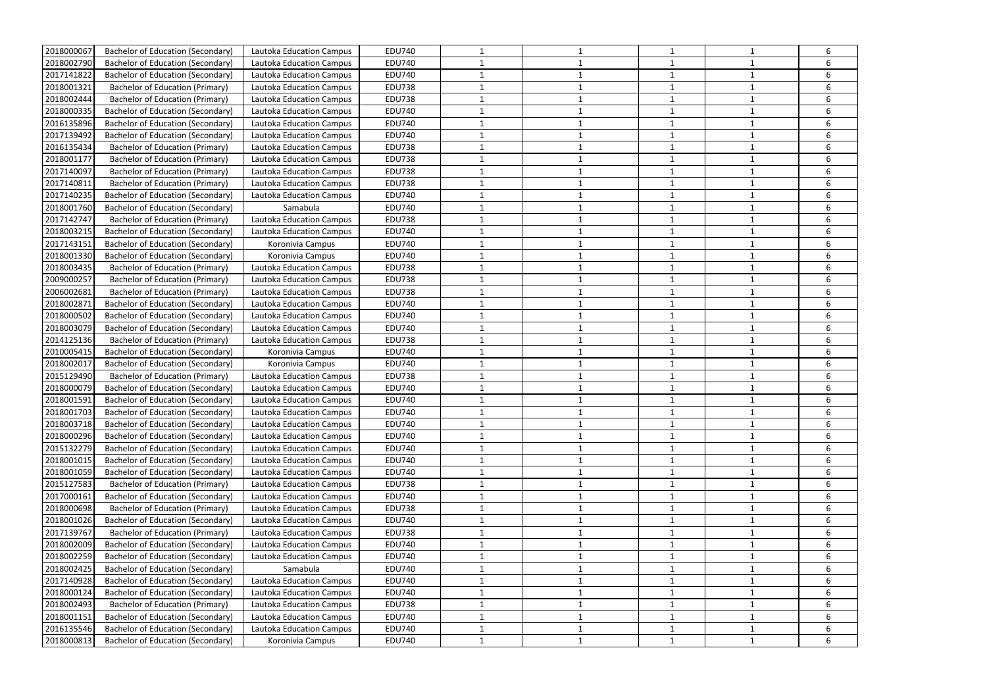| 2018000067 | <b>Bachelor of Education (Secondary)</b> | Lautoka Education Campus        | <b>EDU740</b> | 1            |   | 1              |              | 6 |
|------------|------------------------------------------|---------------------------------|---------------|--------------|---|----------------|--------------|---|
| 2018002790 | Bachelor of Education (Secondary)        | Lautoka Education Campus        | <b>EDU740</b> |              |   |                |              | 6 |
| 2017141822 | Bachelor of Education (Secondary)        | Lautoka Education Campus        | <b>EDU740</b> | 1            |   | 1              |              | 6 |
| 2018001321 | <b>Bachelor of Education (Primary)</b>   | Lautoka Education Campus        | <b>EDU738</b> | 1            |   | $\overline{1}$ |              | 6 |
| 2018002444 | <b>Bachelor of Education (Primary)</b>   | Lautoka Education Campus        | <b>EDU738</b> | 1            |   |                |              | 6 |
| 2018000335 | <b>Bachelor of Education (Secondary)</b> | Lautoka Education Campus        | <b>EDU740</b> | $\mathbf{1}$ |   | $\mathbf{1}$   |              | 6 |
| 2016135896 | <b>Bachelor of Education (Secondary)</b> | Lautoka Education Campus        | <b>EDU740</b> | 1            |   |                |              | 6 |
| 2017139492 | <b>Bachelor of Education (Secondary)</b> | Lautoka Education Campus        | <b>EDU740</b> | 1            |   | $\mathbf{1}$   | $\mathbf{1}$ | 6 |
| 2016135434 | <b>Bachelor of Education (Primary)</b>   | <b>Lautoka Education Campus</b> | <b>EDU738</b> | 1            |   | $\mathbf{1}$   |              | 6 |
| 2018001177 | <b>Bachelor of Education (Primary)</b>   | Lautoka Education Campus        | <b>EDU738</b> | 1            |   | -1             |              | 6 |
| 2017140097 | <b>Bachelor of Education (Primary)</b>   | Lautoka Education Campus        | <b>EDU738</b> | 1            |   | $\overline{1}$ |              | 6 |
| 2017140811 | <b>Bachelor of Education (Primary)</b>   | Lautoka Education Campus        | <b>EDU738</b> | 1            |   | $\mathbf{1}$   |              | 6 |
| 2017140235 | <b>Bachelor of Education (Secondary)</b> | Lautoka Education Campus        | <b>EDU740</b> | 1            |   | $\mathbf{1}$   | $\mathbf{1}$ | 6 |
| 2018001760 | Bachelor of Education (Secondary)        | Samabula                        | <b>EDU740</b> | 1            |   |                |              | 6 |
| 2017142747 | <b>Bachelor of Education (Primary)</b>   | Lautoka Education Campus        | <b>EDU738</b> | 1            |   | 1              |              | 6 |
| 2018003215 | Bachelor of Education (Secondary)        | Lautoka Education Campus        | <b>EDU740</b> | 1            |   | 1              |              | 6 |
| 2017143151 | Bachelor of Education (Secondary)        | Koronivia Campus                | <b>EDU740</b> | 1            |   | -1             |              | 6 |
| 2018001330 | <b>Bachelor of Education (Secondary)</b> | Koronivia Campus                | <b>EDU740</b> | 1            |   | $\overline{1}$ | -1           | 6 |
| 2018003435 | <b>Bachelor of Education (Primary)</b>   | Lautoka Education Campus        | <b>EDU738</b> | 1            |   | 1              |              | 6 |
| 2009000257 | <b>Bachelor of Education (Primary)</b>   | Lautoka Education Campus        | <b>EDU738</b> | 1            |   | 1              |              | 6 |
| 2006002681 | <b>Bachelor of Education (Primary)</b>   | Lautoka Education Campus        | <b>EDU738</b> | 1            |   |                |              | 6 |
| 2018002871 | <b>Bachelor of Education (Secondary)</b> | Lautoka Education Campus        | <b>EDU740</b> | 1            |   | $\mathbf{1}$   |              | 6 |
| 2018000502 | Bachelor of Education (Secondary)        | Lautoka Education Campus        | <b>EDU740</b> | $\mathbf{1}$ |   | $\overline{1}$ |              | 6 |
| 2018003079 | Bachelor of Education (Secondary)        | Lautoka Education Campus        | <b>EDU740</b> |              |   |                |              | 6 |
| 2014125136 | <b>Bachelor of Education (Primary)</b>   | Lautoka Education Campus        | <b>EDU738</b> | 1            |   | $\mathbf{1}$   | $\mathbf{1}$ | 6 |
| 2010005415 | <b>Bachelor of Education (Secondary)</b> | Koronivia Campus                | <b>EDU740</b> | 1            |   | $\mathbf{1}$   |              | 6 |
| 2018002017 | <b>Bachelor of Education (Secondary)</b> | Koronivia Campus                | <b>EDU740</b> | 1            |   | $\mathbf{1}$   | 1            | 6 |
| 2015129490 | <b>Bachelor of Education (Primary)</b>   | Lautoka Education Campus        | <b>EDU738</b> | 1            |   | $\mathbf{1}$   |              | 6 |
| 2018000079 | <b>Bachelor of Education (Secondary)</b> | Lautoka Education Campus        | <b>EDU740</b> | 1            |   |                |              | 6 |
| 2018001591 | <b>Bachelor of Education (Secondary)</b> | Lautoka Education Campus        | <b>EDU740</b> | 1            |   |                |              | 6 |
| 2018001703 | Bachelor of Education (Secondary)        | Lautoka Education Campus        | <b>EDU740</b> |              |   |                |              |   |
| 2018003718 | <b>Bachelor of Education (Secondary)</b> | Lautoka Education Campus        | <b>EDU740</b> | 1            |   | $\mathbf{1}$   | 1            | 6 |
| 2018000296 | Bachelor of Education (Secondary)        | Lautoka Education Campus        | <b>EDU740</b> | $\mathbf{1}$ |   | $\mathbf{1}$   | $\mathbf 1$  | 6 |
| 2015132279 | <b>Bachelor of Education (Secondary)</b> | Lautoka Education Campus        | <b>EDU740</b> | 1            |   | $\mathbf{1}$   |              | 6 |
| 2018001015 | Bachelor of Education (Secondary)        | Lautoka Education Campus        | <b>EDU740</b> | 1            | 1 | $\mathbf{1}$   | $\mathbf{1}$ | 6 |
| 2018001059 | <b>Bachelor of Education (Secondary)</b> | Lautoka Education Campus        | <b>EDU740</b> | 1            |   |                |              | 6 |
| 2015127583 | <b>Bachelor of Education (Primary)</b>   | Lautoka Education Campus        | <b>EDU738</b> | 1            |   | -1             |              | 6 |
| 2017000161 | <b>Bachelor of Education (Secondary)</b> | Lautoka Education Campus        | <b>EDU740</b> | 1            |   | $\mathbf{1}$   |              | 6 |
| 2018000698 | <b>Bachelor of Education (Primary)</b>   | Lautoka Education Campus        | <b>EDU738</b> | $\mathbf{1}$ |   | $\mathbf{1}$   | 1            | 6 |
| 2018001026 | <b>Bachelor of Education (Secondary)</b> | Lautoka Education Campus        | <b>EDU740</b> | 1            |   | $\mathbf{1}$   | $\mathbf{1}$ | 6 |
| 2017139767 | <b>Bachelor of Education (Primary)</b>   | Lautoka Education Campus        | <b>EDU738</b> | 1            |   | $\mathbf{1}$   |              | 6 |
| 2018002009 | <b>Bachelor of Education (Secondary)</b> | Lautoka Education Campus        | <b>EDU740</b> | 1            |   | $\mathbf{1}$   |              | 6 |
| 2018002259 | Bachelor of Education (Secondary)        | Lautoka Education Campus        | <b>EDU740</b> | 1            |   | $\mathbf{1}$   |              | 6 |
| 2018002425 | <b>Bachelor of Education (Secondary)</b> | Samabula                        | <b>EDU740</b> | 1            |   | $\mathbf{1}$   | $\mathbf{1}$ | 6 |
| 2017140928 | <b>Bachelor of Education (Secondary)</b> | Lautoka Education Campus        | <b>EDU740</b> | 1            |   | 1              |              | 6 |
| 2018000124 | <b>Bachelor of Education (Secondary)</b> | Lautoka Education Campus        | <b>EDU740</b> | 1            |   | 1              |              | 6 |
| 2018002493 | <b>Bachelor of Education (Primary)</b>   | Lautoka Education Campus        | <b>EDU738</b> | 1            |   | $\mathbf{1}$   | $\mathbf 1$  | 6 |
| 2018001151 | <b>Bachelor of Education (Secondary)</b> | Lautoka Education Campus        | <b>EDU740</b> | 1            |   | $\mathbf{1}$   | 1            | 6 |
| 2016135546 | Bachelor of Education (Secondary)        | Lautoka Education Campus        | <b>EDU740</b> | $\mathbf{1}$ |   | $\mathbf{1}$   |              | 6 |
| 2018000813 | Bachelor of Education (Secondary)        | Koronivia Campus                | <b>EDU740</b> | $\mathbf{1}$ | 1 | $\mathbf{1}$   | 1            | 6 |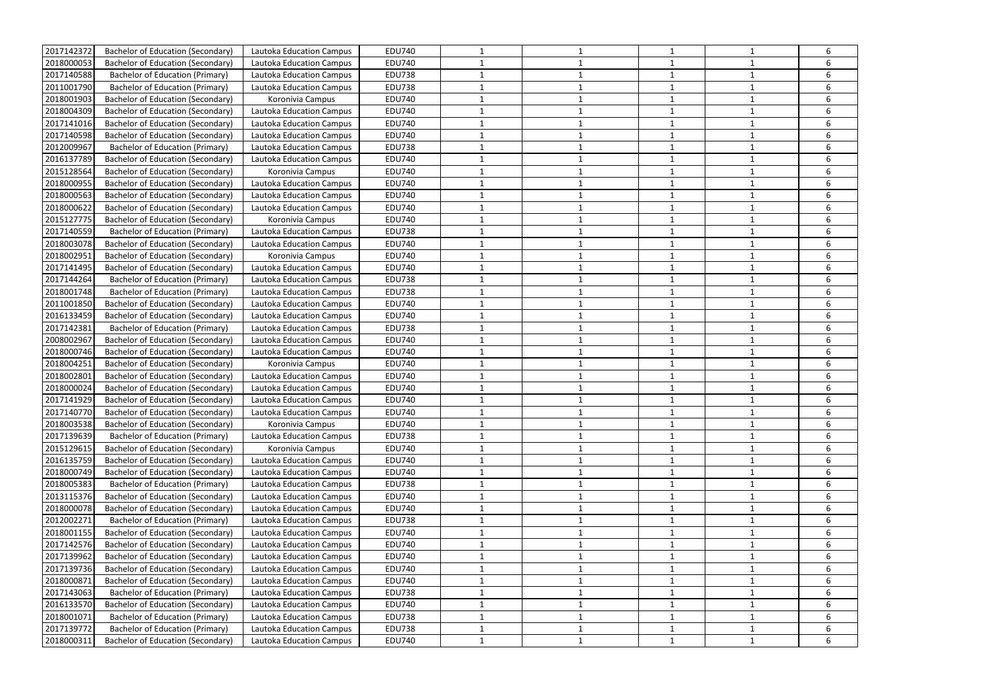| 2017142372 | Bachelor of Education (Secondary)        | <b>Lautoka Education Campus</b> | <b>EDU740</b> |              |   |              |              | 6 |
|------------|------------------------------------------|---------------------------------|---------------|--------------|---|--------------|--------------|---|
| 2018000053 | Bachelor of Education (Secondary)        | Lautoka Education Campus        | <b>EDU740</b> | 1            |   | 1            |              | 6 |
| 2017140588 | <b>Bachelor of Education (Primary)</b>   | Lautoka Education Campus        | <b>EDU738</b> | 1            |   | -1           |              | 6 |
| 2011001790 | <b>Bachelor of Education (Primary)</b>   | Lautoka Education Campus        | <b>EDU738</b> | 1            |   | 1            | -1           | 6 |
| 2018001903 | <b>Bachelor of Education (Secondary)</b> | Koronivia Campus                | <b>EDU740</b> | 1            |   | 1            |              | 6 |
| 2018004309 | <b>Bachelor of Education (Secondary)</b> | Lautoka Education Campus        | <b>EDU740</b> | 1            |   | 1            |              | 6 |
| 2017141016 | Bachelor of Education (Secondary)        | Lautoka Education Campus        | <b>EDU740</b> | 1            |   |              |              | 6 |
| 2017140598 | <b>Bachelor of Education (Secondary)</b> | <b>Lautoka Education Campus</b> | <b>EDU740</b> | 1            |   | $\mathbf{1}$ |              | 6 |
| 2012009967 | <b>Bachelor of Education (Primary)</b>   | Lautoka Education Campus        | <b>EDU738</b> | 1            |   | 1            | $\mathbf 1$  | 6 |
| 2016137789 | <b>Bachelor of Education (Secondary)</b> | <b>Lautoka Education Campus</b> | <b>EDU740</b> | $\mathbf{1}$ |   | -1           |              | 6 |
| 2015128564 | Bachelor of Education (Secondary)        | Koronivia Campus                | <b>EDU740</b> | 1            |   | 1            |              | 6 |
| 2018000955 | <b>Bachelor of Education (Secondary)</b> | Lautoka Education Campus        | <b>EDU740</b> | 1            |   | 1            |              | 6 |
| 2018000563 | <b>Bachelor of Education (Secondary)</b> | Lautoka Education Campus        | <b>EDU740</b> | 1            |   | 1            |              | 6 |
| 2018000622 | <b>Bachelor of Education (Secondary)</b> | Lautoka Education Campus        | <b>EDU740</b> | 1            |   | 1            |              | 6 |
| 2015127775 | Bachelor of Education (Secondary)        | Koronivia Campus                | <b>EDU740</b> | 1            |   | 1            |              | 6 |
| 2017140559 | Bachelor of Education (Primary)          | Lautoka Education Campus        | <b>EDU738</b> | 1            |   | -1           |              | 6 |
| 2018003078 | Bachelor of Education (Secondary)        | Lautoka Education Campus        | <b>EDU740</b> | 1            |   | 1            |              | 6 |
| 2018002951 | <b>Bachelor of Education (Secondary)</b> | Koronivia Campus                | <b>EDU740</b> | 1            |   | $\mathbf{1}$ |              | 6 |
| 2017141495 | <b>Bachelor of Education (Secondary)</b> | Lautoka Education Campus        | <b>EDU740</b> | 1            |   |              |              | 6 |
| 2017144264 | <b>Bachelor of Education (Primary)</b>   | Lautoka Education Campus        | <b>EDU738</b> |              |   |              |              | 6 |
| 2018001748 | <b>Bachelor of Education (Primary)</b>   | Lautoka Education Campus        | <b>EDU738</b> | 1            |   | $\mathbf{1}$ |              | 6 |
| 2011001850 | <b>Bachelor of Education (Secondary)</b> | Lautoka Education Campus        | <b>EDU740</b> | 1            |   | 1            | -1           | 6 |
| 2016133459 | <b>Bachelor of Education (Secondary)</b> | Lautoka Education Campus        | <b>EDU740</b> | 1            |   | $\mathbf{1}$ |              | 6 |
| 2017142381 | <b>Bachelor of Education (Primary)</b>   | Lautoka Education Campus        | <b>EDU738</b> | 1            |   | 1            |              | 6 |
| 2008002967 | <b>Bachelor of Education (Secondary)</b> | Lautoka Education Campus        | <b>EDU740</b> | 1            |   | 1            |              | 6 |
| 2018000746 | Bachelor of Education (Secondary)        | Lautoka Education Campus        | <b>EDU740</b> | 1            |   |              |              | 6 |
| 2018004251 | Bachelor of Education (Secondary)        | Koronivia Campus                | <b>EDU740</b> | 1            |   | $\mathbf{1}$ |              | 6 |
| 2018002801 | Bachelor of Education (Secondary)        | Lautoka Education Campus        | <b>EDU740</b> | 1            |   | -1           |              | 6 |
| 2018000024 | <b>Bachelor of Education (Secondary)</b> | Lautoka Education Campus        | <b>EDU740</b> | 1            |   | 1            |              | 6 |
| 2017141929 | <b>Bachelor of Education (Secondary)</b> | Lautoka Education Campus        | <b>EDU740</b> | 1            |   | -1           |              | 6 |
| 2017140770 | <b>Bachelor of Education (Secondary)</b> | Lautoka Education Campus        | <b>EDU740</b> |              |   |              |              |   |
| 2018003538 | <b>Bachelor of Education (Secondary)</b> | Koronivia Campus                | <b>EDU740</b> | $\mathbf{1}$ |   | $\mathbf{1}$ | 1            | 6 |
| 2017139639 | <b>Bachelor of Education (Primary)</b>   | Lautoka Education Campus        | <b>EDU738</b> | 1            |   |              |              | 6 |
| 2015129615 | Bachelor of Education (Secondary)        | Koronivia Campus                | <b>EDU740</b> | 1            |   | $\mathbf{1}$ | 1            | 6 |
| 2016135759 | Bachelor of Education (Secondary)        | <b>Lautoka Education Campus</b> | <b>EDU740</b> | $\mathbf{1}$ |   | $\mathbf{1}$ |              | 6 |
| 2018000749 | <b>Bachelor of Education (Secondary)</b> | Lautoka Education Campus        | <b>EDU740</b> | 1            |   | 1            |              | 6 |
| 2018005383 | <b>Bachelor of Education (Primary)</b>   | Lautoka Education Campus        | <b>EDU738</b> | $\mathbf{1}$ |   | $\mathbf{1}$ | $\mathbf{1}$ | 6 |
| 2013115376 | Bachelor of Education (Secondary)        | Lautoka Education Campus        | <b>EDU740</b> | $\mathbf{1}$ |   | $\mathbf{1}$ |              | 6 |
| 2018000078 | <b>Bachelor of Education (Secondary)</b> | Lautoka Education Campus        | <b>EDU740</b> | 1            |   | $\mathbf{1}$ | 1            | 6 |
| 2012002271 | <b>Bachelor of Education (Primary)</b>   | Lautoka Education Campus        | <b>EDU738</b> | 1            | 1 | $\mathbf{1}$ | $\mathbf 1$  | 6 |
| 2018001155 | <b>Bachelor of Education (Secondary)</b> | Lautoka Education Campus        | <b>EDU740</b> | 1            |   | $\mathbf{1}$ |              | 6 |
| 2017142576 | Bachelor of Education (Secondary)        | Lautoka Education Campus        | <b>EDU740</b> | 1            |   | 1            |              | 6 |
| 2017139962 | <b>Bachelor of Education (Secondary)</b> | Lautoka Education Campus        | <b>EDU740</b> | $\mathbf{1}$ | 1 | $\mathbf{1}$ | 1            | 6 |
| 2017139736 | <b>Bachelor of Education (Secondary)</b> | Lautoka Education Campus        | <b>EDU740</b> | $\mathbf{1}$ | 1 | $\mathbf{1}$ | $\mathbf{1}$ | 6 |
| 2018000871 | Bachelor of Education (Secondary)        | Lautoka Education Campus        | <b>EDU740</b> | $\mathbf{1}$ |   | $\mathbf{1}$ |              | 6 |
| 2017143063 | <b>Bachelor of Education (Primary)</b>   | Lautoka Education Campus        | <b>EDU738</b> | 1            |   | $\mathbf{1}$ | 1            | 6 |
| 2016133570 | Bachelor of Education (Secondary)        | Lautoka Education Campus        | <b>EDU740</b> | $\mathbf 1$  |   | $\mathbf{1}$ |              | 6 |
| 2018001071 | <b>Bachelor of Education (Primary)</b>   | Lautoka Education Campus        | <b>EDU738</b> | $\mathbf{1}$ |   | $\mathbf{1}$ | $\mathbf{1}$ | 6 |
| 2017139772 | <b>Bachelor of Education (Primary)</b>   | Lautoka Education Campus        | <b>EDU738</b> | 1            | 1 | $\mathbf{1}$ | $\mathbf{1}$ | 6 |
| 2018000311 | <b>Bachelor of Education (Secondary)</b> | Lautoka Education Campus        | <b>EDU740</b> | $\mathbf{1}$ | 1 | $\mathbf{1}$ | $\mathbf{1}$ | 6 |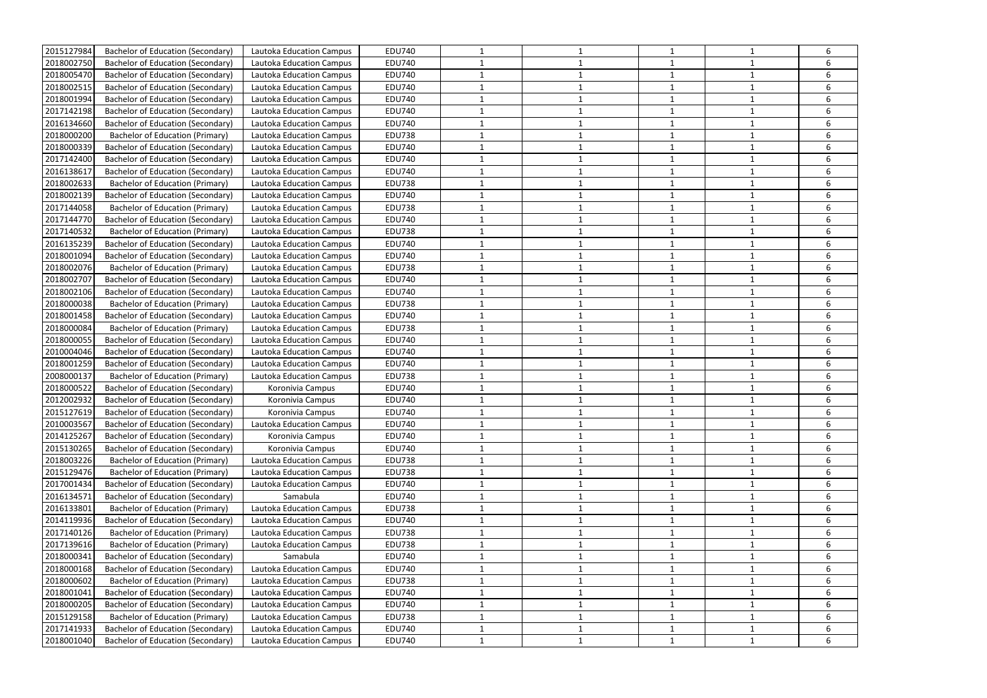| 2015127984 | <b>Bachelor of Education (Secondary)</b> | Lautoka Education Campus        | <b>EDU740</b> | 1            |   | 1              |              | 6 |
|------------|------------------------------------------|---------------------------------|---------------|--------------|---|----------------|--------------|---|
| 2018002750 | Bachelor of Education (Secondary)        | Lautoka Education Campus        | <b>EDU740</b> |              |   |                |              | 6 |
| 2018005470 | Bachelor of Education (Secondary)        | Lautoka Education Campus        | <b>EDU740</b> | 1            |   | $\mathbf{1}$   |              | 6 |
| 2018002515 | <b>Bachelor of Education (Secondary)</b> | Lautoka Education Campus        | <b>EDU740</b> | 1            |   | $\overline{1}$ |              | 6 |
| 2018001994 | Bachelor of Education (Secondary)        | Lautoka Education Campus        | <b>EDU740</b> | 1            |   |                |              | 6 |
| 2017142198 | <b>Bachelor of Education (Secondary)</b> | Lautoka Education Campus        | <b>EDU740</b> | 1            |   | $\mathbf{1}$   |              | 6 |
| 2016134660 | Bachelor of Education (Secondary)        | Lautoka Education Campus        | <b>EDU740</b> | 1            |   |                |              | 6 |
| 2018000200 | <b>Bachelor of Education (Primary)</b>   | Lautoka Education Campus        | <b>EDU738</b> | 1            |   | $\mathbf{1}$   | $\mathbf{1}$ | 6 |
| 2018000339 | Bachelor of Education (Secondary)        | Lautoka Education Campus        | <b>EDU740</b> | 1            |   | $\mathbf{1}$   |              | 6 |
| 2017142400 | <b>Bachelor of Education (Secondary)</b> | Lautoka Education Campus        | <b>EDU740</b> | 1            |   | -1             |              | 6 |
| 2016138617 | <b>Bachelor of Education (Secondary)</b> | Lautoka Education Campus        | <b>EDU740</b> | 1            |   | $\overline{1}$ |              | 6 |
| 2018002633 | <b>Bachelor of Education (Primary)</b>   | Lautoka Education Campus        | <b>EDU738</b> | 1            |   | $\mathbf{1}$   |              | 6 |
| 2018002139 | <b>Bachelor of Education (Secondary)</b> | Lautoka Education Campus        | <b>EDU740</b> | 1            |   | $\mathbf{1}$   | $\mathbf{1}$ | 6 |
| 2017144058 | <b>Bachelor of Education (Primary)</b>   | Lautoka Education Campus        | <b>EDU738</b> | 1            |   |                |              | 6 |
| 2017144770 | Bachelor of Education (Secondary)        | <b>Lautoka Education Campus</b> | <b>EDU740</b> | 1            |   | $\mathbf{1}$   |              | 6 |
| 2017140532 | <b>Bachelor of Education (Primary)</b>   | Lautoka Education Campus        | <b>EDU738</b> | 1            |   | 1              |              | 6 |
| 2016135239 | <b>Bachelor of Education (Secondary)</b> | Lautoka Education Campus        | <b>EDU740</b> | 1            |   | $\overline{1}$ |              | 6 |
| 2018001094 | <b>Bachelor of Education (Secondary)</b> | Lautoka Education Campus        | <b>EDU740</b> | 1            |   | -1             | -1           | 6 |
| 2018002076 | <b>Bachelor of Education (Primary)</b>   | Lautoka Education Campus        | <b>EDU738</b> | 1            |   | 1              |              | 6 |
| 2018002707 | <b>Bachelor of Education (Secondary)</b> | Lautoka Education Campus        | <b>EDU740</b> | 1            |   | 1              |              | 6 |
| 2018002106 | <b>Bachelor of Education (Secondary)</b> | Lautoka Education Campus        | <b>EDU740</b> | 1            |   |                |              | 6 |
| 2018000038 | <b>Bachelor of Education (Primary)</b>   | Lautoka Education Campus        | <b>EDU738</b> | 1            |   | $\mathbf{1}$   |              | 6 |
| 2018001458 | <b>Bachelor of Education (Secondary)</b> | Lautoka Education Campus        | <b>EDU740</b> | 1            |   | 1              |              | 6 |
| 2018000084 | Bachelor of Education (Primary)          | Lautoka Education Campus        | <b>EDU738</b> |              |   |                |              | 6 |
| 2018000055 | <b>Bachelor of Education (Secondary)</b> | Lautoka Education Campus        | <b>EDU740</b> | 1            |   | $\mathbf{1}$   | $\mathbf{1}$ | 6 |
| 2010004046 | <b>Bachelor of Education (Secondary)</b> | Lautoka Education Campus        | <b>EDU740</b> | 1            |   | $\mathbf{1}$   |              | 6 |
| 2018001259 | <b>Bachelor of Education (Secondary)</b> | Lautoka Education Campus        | <b>EDU740</b> | 1            |   | $\mathbf{1}$   | 1            | 6 |
| 2008000137 | <b>Bachelor of Education (Primary)</b>   | Lautoka Education Campus        | <b>EDU738</b> | 1            |   | $\mathbf{1}$   |              | 6 |
| 2018000522 | <b>Bachelor of Education (Secondary)</b> | Koronivia Campus                | <b>EDU740</b> | 1            |   |                |              | 6 |
| 2012002932 | Bachelor of Education (Secondary)        | Koronivia Campus                | <b>EDU740</b> | 1            |   |                |              | 6 |
| 2015127619 | Bachelor of Education (Secondary)        | Koronivia Campus                | <b>EDU740</b> |              |   |                |              |   |
| 2010003567 | <b>Bachelor of Education (Secondary)</b> | Lautoka Education Campus        | <b>EDU740</b> | 1            |   | $\mathbf{1}$   | 1            | 6 |
| 2014125267 | Bachelor of Education (Secondary)        | Koronivia Campus                | <b>EDU740</b> | $\mathbf{1}$ |   | $\mathbf{1}$   | $\mathbf 1$  | 6 |
| 2015130265 | <b>Bachelor of Education (Secondary)</b> | Koronivia Campus                | <b>EDU740</b> | 1            |   | 1              |              | 6 |
| 2018003226 | <b>Bachelor of Education (Primary)</b>   | <b>Lautoka Education Campus</b> | <b>EDU738</b> | 1            |   | $\mathbf{1}$   | $\mathbf{1}$ | 6 |
| 2015129476 | <b>Bachelor of Education (Primary)</b>   | Lautoka Education Campus        | <b>EDU738</b> | 1            |   |                |              | 6 |
| 2017001434 | <b>Bachelor of Education (Secondary)</b> | Lautoka Education Campus        | <b>EDU740</b> | 1            |   | $\mathbf{1}$   |              | 6 |
| 2016134571 | Bachelor of Education (Secondary)        | Samabula                        | <b>EDU740</b> | 1            |   | $\mathbf{1}$   |              | 6 |
| 2016133801 | <b>Bachelor of Education (Primary)</b>   | Lautoka Education Campus        | <b>EDU738</b> | 1            |   | $\mathbf{1}$   |              | 6 |
| 2014119936 | <b>Bachelor of Education (Secondary)</b> | Lautoka Education Campus        | <b>EDU740</b> | 1            |   | $\mathbf{1}$   | $\mathbf{1}$ | 6 |
| 2017140126 | <b>Bachelor of Education (Primary)</b>   | Lautoka Education Campus        | <b>EDU738</b> | 1            |   | $\mathbf{1}$   |              | 6 |
| 2017139616 | <b>Bachelor of Education (Primary)</b>   | Lautoka Education Campus        | <b>EDU738</b> | 1            |   | $\mathbf{1}$   |              | 6 |
| 2018000341 | <b>Bachelor of Education (Secondary)</b> | Samabula                        | <b>EDU740</b> | 1            |   | $\mathbf{1}$   |              | 6 |
| 2018000168 | <b>Bachelor of Education (Secondary)</b> | Lautoka Education Campus        | <b>EDU740</b> | 1            |   | $\mathbf{1}$   | $\mathbf{1}$ | 6 |
| 2018000602 | <b>Bachelor of Education (Primary)</b>   | Lautoka Education Campus        | <b>EDU738</b> | 1            |   | 1              |              | 6 |
| 2018001041 | <b>Bachelor of Education (Secondary)</b> | Lautoka Education Campus        | <b>EDU740</b> | 1            |   | 1              |              | 6 |
| 2018000205 | <b>Bachelor of Education (Secondary)</b> | Lautoka Education Campus        | <b>EDU740</b> | 1            |   | $\mathbf{1}$   | $\mathbf 1$  | 6 |
| 2015129158 | <b>Bachelor of Education (Primary)</b>   | Lautoka Education Campus        | <b>EDU738</b> | 1            |   | $\mathbf{1}$   | 1            | 6 |
| 2017141933 | Bachelor of Education (Secondary)        | Lautoka Education Campus        | <b>EDU740</b> | $\mathbf{1}$ |   | $\mathbf{1}$   |              | 6 |
| 2018001040 | Bachelor of Education (Secondary)        | Lautoka Education Campus        | <b>EDU740</b> | $\mathbf{1}$ | 1 | $\mathbf{1}$   | 1            | 6 |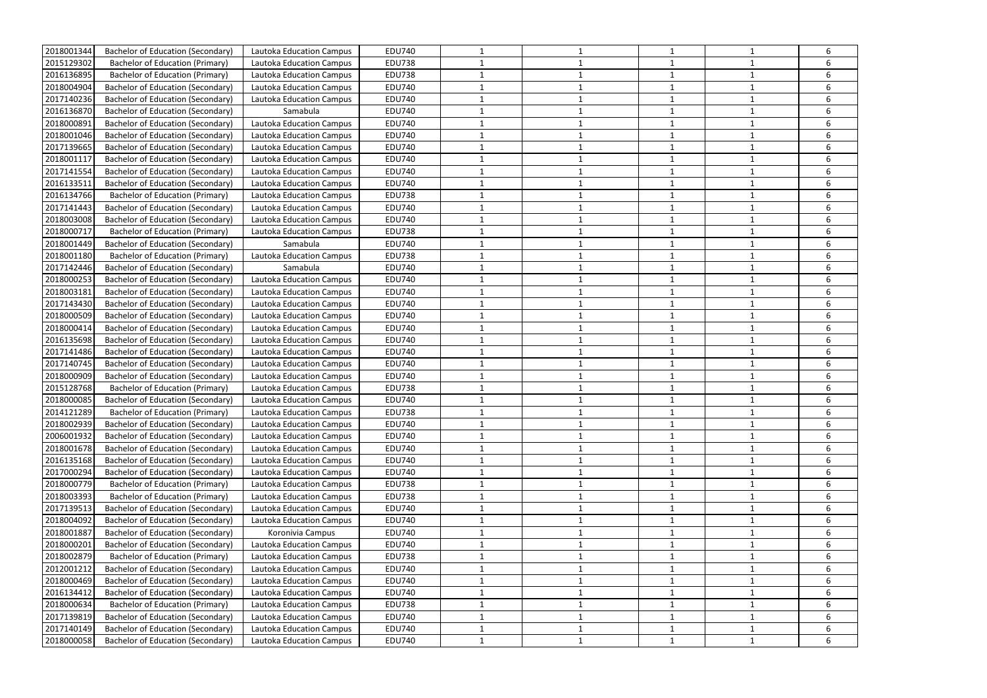| 2018001344 | <b>Bachelor of Education (Secondary)</b> | Lautoka Education Campus        | <b>EDU740</b> |              |   |              |              | 6      |
|------------|------------------------------------------|---------------------------------|---------------|--------------|---|--------------|--------------|--------|
| 2015129302 | <b>Bachelor of Education (Primary)</b>   | Lautoka Education Campus        | <b>EDU738</b> | 1            |   | 1            |              | 6      |
| 2016136895 | <b>Bachelor of Education (Primary)</b>   | Lautoka Education Campus        | <b>EDU738</b> | 1            |   | $\mathbf{1}$ |              | 6      |
| 2018004904 | Bachelor of Education (Secondary)        | Lautoka Education Campus        | <b>EDU740</b> | 1            |   | $\mathbf{1}$ | -1           | 6      |
| 2017140236 | <b>Bachelor of Education (Secondary)</b> | Lautoka Education Campus        | <b>EDU740</b> | 1            |   | 1            |              | 6      |
| 2016136870 | <b>Bachelor of Education (Secondary)</b> | Samabula                        | <b>EDU740</b> | 1            |   | 1            |              | 6      |
| 2018000891 | Bachelor of Education (Secondary)        | Lautoka Education Campus        | <b>EDU740</b> | 1            |   |              |              | 6      |
| 2018001046 | <b>Bachelor of Education (Secondary)</b> | <b>Lautoka Education Campus</b> | <b>EDU740</b> | 1            |   | $\mathbf{1}$ |              | 6      |
| 2017139665 | <b>Bachelor of Education (Secondary)</b> | Lautoka Education Campus        | <b>EDU740</b> | 1            |   | $\mathbf{1}$ | $\mathbf 1$  | 6      |
| 2018001117 | Bachelor of Education (Secondary)        | <b>Lautoka Education Campus</b> | <b>EDU740</b> | 1            |   | -1           |              | 6      |
| 2017141554 | <b>Bachelor of Education (Secondary)</b> | Lautoka Education Campus        | <b>EDU740</b> | 1            |   | 1            |              | 6      |
| 2016133511 | <b>Bachelor of Education (Secondary)</b> | Lautoka Education Campus        | <b>EDU740</b> | 1            |   | 1            |              | 6      |
| 2016134766 | <b>Bachelor of Education (Primary)</b>   | Lautoka Education Campus        | <b>EDU738</b> | 1            |   | 1            |              | 6      |
| 2017141443 | Bachelor of Education (Secondary)        | Lautoka Education Campus        | <b>EDU740</b> | 1            |   | 1            |              | 6      |
| 2018003008 | Bachelor of Education (Secondary)        | Lautoka Education Campus        | <b>EDU740</b> | 1            |   | 1            |              | 6      |
| 2018000717 | Bachelor of Education (Primary)          | Lautoka Education Campus        | <b>EDU738</b> | 1            |   | -1           |              | 6      |
| 2018001449 | Bachelor of Education (Secondary)        | Samabula                        | <b>EDU740</b> | 1            |   | 1            |              | 6      |
| 2018001180 | <b>Bachelor of Education (Primary)</b>   | Lautoka Education Campus        | <b>EDU738</b> | 1            |   | $\mathbf{1}$ |              | 6      |
|            | Bachelor of Education (Secondary)        | Samabula                        | <b>EDU740</b> |              |   |              |              |        |
| 2017142446 | <b>Bachelor of Education (Secondary)</b> |                                 | <b>EDU740</b> | 1            |   |              |              | 6<br>6 |
| 2018000253 |                                          | Lautoka Education Campus        |               |              |   |              |              |        |
| 2018003181 | Bachelor of Education (Secondary)        | Lautoka Education Campus        | <b>EDU740</b> | 1            |   | $\mathbf{1}$ |              | 6      |
| 2017143430 | Bachelor of Education (Secondary)        | Lautoka Education Campus        | <b>EDU740</b> | 1            |   | 1            | -1           | 6      |
| 2018000509 | Bachelor of Education (Secondary)        | Lautoka Education Campus        | <b>EDU740</b> | 1            |   | $\mathbf{1}$ |              | 6      |
| 2018000414 | Bachelor of Education (Secondary)        | Lautoka Education Campus        | <b>EDU740</b> | 1            |   | 1            |              | 6      |
| 2016135698 | <b>Bachelor of Education (Secondary)</b> | Lautoka Education Campus        | <b>EDU740</b> | 1            |   | 1            |              | 6      |
| 2017141486 | Bachelor of Education (Secondary)        | Lautoka Education Campus        | <b>EDU740</b> | 1            |   |              |              | 6      |
| 2017140745 | Bachelor of Education (Secondary)        | Lautoka Education Campus        | <b>EDU740</b> | 1            |   | $\mathbf{1}$ |              | 6      |
| 2018000909 | <b>Bachelor of Education (Secondary)</b> | Lautoka Education Campus        | <b>EDU740</b> | 1            |   | -1           |              | 6      |
| 2015128768 | <b>Bachelor of Education (Primary)</b>   | Lautoka Education Campus        | <b>EDU738</b> | 1            |   | 1            | -1           | 6      |
| 2018000085 | <b>Bachelor of Education (Secondary)</b> | Lautoka Education Campus        | <b>EDU740</b> | 1            |   | $\mathbf{1}$ |              | 6      |
| 2014121289 | <b>Bachelor of Education (Primary)</b>   | Lautoka Education Campus        | <b>EDU738</b> |              |   |              |              |        |
| 2018002939 | <b>Bachelor of Education (Secondary)</b> | <b>Lautoka Education Campus</b> | <b>EDU740</b> | 1            |   | $\mathbf{1}$ | 1            | 6      |
| 2006001932 | Bachelor of Education (Secondary)        | Lautoka Education Campus        | <b>EDU740</b> | 1            |   |              |              | 6      |
| 2018001678 | Bachelor of Education (Secondary)        | Lautoka Education Campus        | <b>EDU740</b> | 1            |   | $\mathbf{1}$ |              | 6      |
| 2016135168 | Bachelor of Education (Secondary)        | Lautoka Education Campus        | <b>EDU740</b> | $\mathbf{1}$ |   | $\mathbf{1}$ |              | 6      |
| 2017000294 | <b>Bachelor of Education (Secondary)</b> | Lautoka Education Campus        | <b>EDU740</b> | 1            |   | 1            |              | 6      |
| 2018000779 | <b>Bachelor of Education (Primary)</b>   | Lautoka Education Campus        | <b>EDU738</b> | $\mathbf{1}$ |   | $\mathbf{1}$ |              | 6      |
| 2018003393 | <b>Bachelor of Education (Primary)</b>   | Lautoka Education Campus        | <b>EDU738</b> | $\mathbf{1}$ |   | $\mathbf{1}$ |              | 6      |
| 2017139513 | <b>Bachelor of Education (Secondary)</b> | Lautoka Education Campus        | <b>EDU740</b> | 1            |   | $\mathbf{1}$ | 1            | 6      |
| 2018004092 | <b>Bachelor of Education (Secondary)</b> | Lautoka Education Campus        | <b>EDU740</b> | 1            |   | $\mathbf{1}$ |              | 6      |
| 2018001887 | <b>Bachelor of Education (Secondary)</b> | Koronivia Campus                | <b>EDU740</b> | 1            |   | $\mathbf{1}$ |              | 6      |
| 2018000201 | Bachelor of Education (Secondary)        | Lautoka Education Campus        | <b>EDU740</b> | 1            |   | $\mathbf{1}$ |              | 6      |
| 2018002879 | <b>Bachelor of Education (Primary)</b>   | Lautoka Education Campus        | <b>EDU738</b> | $\mathbf{1}$ | 1 | $\mathbf{1}$ |              | 6      |
| 2012001212 | <b>Bachelor of Education (Secondary)</b> | Lautoka Education Campus        | <b>EDU740</b> | $\mathbf{1}$ |   | $\mathbf{1}$ | $\mathbf{1}$ | 6      |
| 2018000469 | Bachelor of Education (Secondary)        | Lautoka Education Campus        | <b>EDU740</b> | 1            |   | $\mathbf{1}$ |              | 6      |
| 2016134412 | Bachelor of Education (Secondary)        | Lautoka Education Campus        | <b>EDU740</b> | 1            |   | $\mathbf{1}$ | 1            | 6      |
| 2018000634 | <b>Bachelor of Education (Primary)</b>   | Lautoka Education Campus        | <b>EDU738</b> | $\mathbf{1}$ |   | $\mathbf{1}$ |              | 6      |
| 2017139819 | <b>Bachelor of Education (Secondary)</b> | Lautoka Education Campus        | <b>EDU740</b> | $\mathbf{1}$ |   | $\mathbf{1}$ | $\mathbf{1}$ | 6      |
| 2017140149 | <b>Bachelor of Education (Secondary)</b> | Lautoka Education Campus        | <b>EDU740</b> | 1            |   | $\mathbf{1}$ | $\mathbf{1}$ | 6      |
| 2018000058 | Bachelor of Education (Secondary)        | Lautoka Education Campus        | <b>EDU740</b> | $\mathbf{1}$ | 1 | $\mathbf{1}$ | $\mathbf{1}$ | 6      |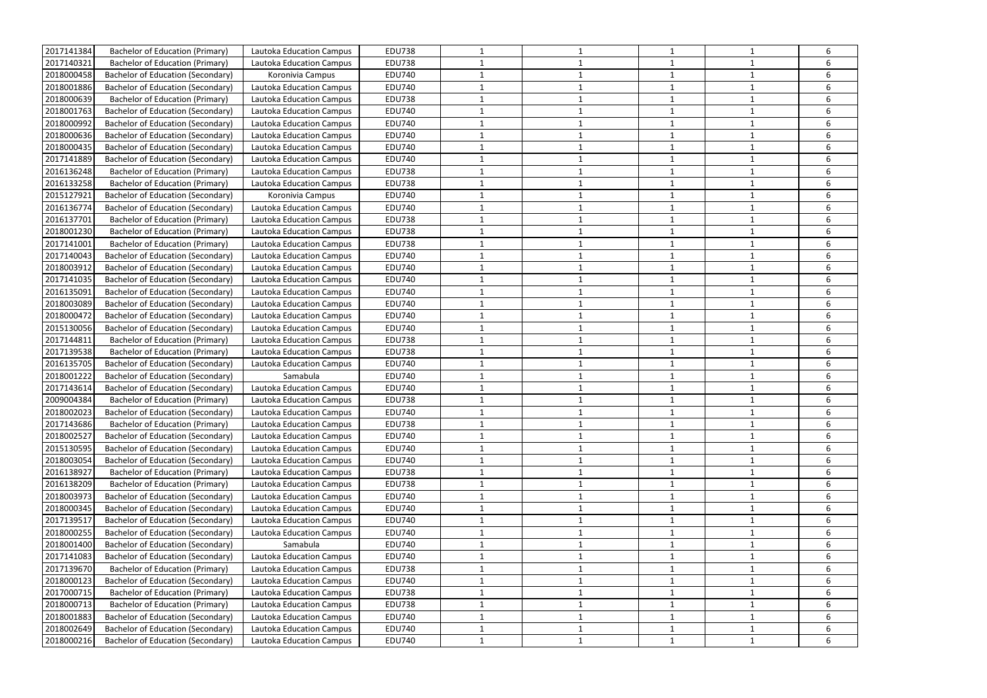| 2017141384 | <b>Bachelor of Education (Primary)</b>   | Lautoka Education Campus        | <b>EDU738</b> |              |   |              |              | 6      |
|------------|------------------------------------------|---------------------------------|---------------|--------------|---|--------------|--------------|--------|
| 2017140321 | <b>Bachelor of Education (Primary)</b>   |                                 | <b>EDU738</b> | 1            |   | 1            |              | 6      |
| 2018000458 |                                          | Lautoka Education Campus        |               |              |   |              |              |        |
|            | <b>Bachelor of Education (Secondary)</b> | Koronivia Campus                | <b>EDU740</b> | 1            |   | $\mathbf{1}$ | -1           | 6<br>6 |
| 2018001886 | <b>Bachelor of Education (Secondary)</b> | Lautoka Education Campus        | <b>EDU740</b> | 1            |   | $\mathbf{1}$ |              |        |
| 2018000639 | <b>Bachelor of Education (Primary)</b>   | Lautoka Education Campus        | <b>EDU738</b> | 1            |   | 1            |              | 6      |
| 2018001763 | <b>Bachelor of Education (Secondary)</b> | Lautoka Education Campus        | <b>EDU740</b> | 1            |   | 1            |              | 6      |
| 2018000992 | Bachelor of Education (Secondary)        | Lautoka Education Campus        | <b>EDU740</b> | 1            |   |              |              | 6      |
| 2018000636 | <b>Bachelor of Education (Secondary)</b> | Lautoka Education Campus        | <b>EDU740</b> | 1            |   | $\mathbf{1}$ |              | 6      |
| 2018000435 | Bachelor of Education (Secondary)        | Lautoka Education Campus        | <b>EDU740</b> | 1            |   | $\mathbf{1}$ | $\mathbf 1$  | 6      |
| 2017141889 | Bachelor of Education (Secondary)        | Lautoka Education Campus        | <b>EDU740</b> | 1            |   | -1           |              | 6      |
| 2016136248 | <b>Bachelor of Education (Primary)</b>   | Lautoka Education Campus        | <b>EDU738</b> | 1            |   | 1            |              | 6      |
| 2016133258 | <b>Bachelor of Education (Primary)</b>   | Lautoka Education Campus        | <b>EDU738</b> | 1            |   | 1            |              | 6      |
| 2015127921 | <b>Bachelor of Education (Secondary)</b> | Koronivia Campus                | <b>EDU740</b> | 1            |   | 1            |              | 6      |
| 2016136774 | <b>Bachelor of Education (Secondary)</b> | Lautoka Education Campus        | <b>EDU740</b> | 1            |   | 1            |              | 6      |
| 2016137701 | <b>Bachelor of Education (Primary)</b>   | Lautoka Education Campus        | <b>EDU738</b> | 1            |   | 1            |              | 6      |
| 2018001230 | <b>Bachelor of Education (Primary)</b>   | Lautoka Education Campus        | <b>EDU738</b> | 1            |   | -1           |              | 6      |
| 2017141001 | <b>Bachelor of Education (Primary)</b>   | Lautoka Education Campus        | <b>EDU738</b> | 1            |   | 1            |              | 6      |
| 2017140043 | <b>Bachelor of Education (Secondary)</b> | Lautoka Education Campus        | <b>EDU740</b> | 1            |   | $\mathbf{1}$ |              | 6      |
| 2018003912 | <b>Bachelor of Education (Secondary)</b> | Lautoka Education Campus        | <b>EDU740</b> | 1            |   |              |              | 6      |
| 2017141035 | <b>Bachelor of Education (Secondary)</b> | Lautoka Education Campus        | <b>EDU740</b> |              |   |              |              | 6      |
| 2016135091 | Bachelor of Education (Secondary)        | Lautoka Education Campus        | <b>EDU740</b> | 1            |   | $\mathbf{1}$ |              | 6      |
| 2018003089 | Bachelor of Education (Secondary)        | Lautoka Education Campus        | <b>EDU740</b> | 1            |   | 1            | -1           | 6      |
| 2018000472 | <b>Bachelor of Education (Secondary)</b> | Lautoka Education Campus        | <b>EDU740</b> | 1            |   | $\mathbf{1}$ |              | 6      |
| 2015130056 | Bachelor of Education (Secondary)        | Lautoka Education Campus        | <b>EDU740</b> | 1            |   | 1            |              | 6      |
| 2017144811 | <b>Bachelor of Education (Primary)</b>   | Lautoka Education Campus        | <b>EDU738</b> | 1            |   | 1            |              | 6      |
| 2017139538 | <b>Bachelor of Education (Primary)</b>   | Lautoka Education Campus        | <b>EDU738</b> | 1            |   |              |              | 6      |
| 2016135705 | <b>Bachelor of Education (Secondary)</b> | Lautoka Education Campus        | <b>EDU740</b> | 1            |   | $\mathbf{1}$ |              | 6      |
| 2018001222 | Bachelor of Education (Secondary)        | Samabula                        | <b>EDU740</b> | 1            |   | -1           |              | 6      |
| 2017143614 | <b>Bachelor of Education (Secondary)</b> | Lautoka Education Campus        | <b>EDU740</b> | 1            |   | 1            | -1           | 6      |
| 2009004384 | <b>Bachelor of Education (Primary)</b>   | Lautoka Education Campus        | <b>EDU738</b> | 1            |   | $\mathbf{1}$ |              | 6      |
| 2018002023 | <b>Bachelor of Education (Secondary)</b> | Lautoka Education Campus        | <b>EDU740</b> |              |   |              |              |        |
| 2017143686 | <b>Bachelor of Education (Primary)</b>   | <b>Lautoka Education Campus</b> | <b>EDU738</b> | $\mathbf{1}$ |   | $\mathbf{1}$ | 1            | 6      |
| 2018002527 | Bachelor of Education (Secondary)        | Lautoka Education Campus        | <b>EDU740</b> | 1            |   |              |              | 6      |
| 2015130595 | Bachelor of Education (Secondary)        | Lautoka Education Campus        | <b>EDU740</b> | 1            |   | $\mathbf{1}$ |              | 6      |
| 2018003054 | Bachelor of Education (Secondary)        | Lautoka Education Campus        | <b>EDU740</b> | $\mathbf{1}$ |   | $\mathbf{1}$ |              | 6      |
| 2016138927 | <b>Bachelor of Education (Primary)</b>   | <b>Lautoka Education Campus</b> | <b>EDU738</b> | 1            |   | 1            |              | 6      |
| 2016138209 | <b>Bachelor of Education (Primary)</b>   | Lautoka Education Campus        | <b>EDU738</b> | $\mathbf{1}$ |   | $\mathbf{1}$ |              | 6      |
| 2018003973 | <b>Bachelor of Education (Secondary)</b> | Lautoka Education Campus        | <b>EDU740</b> | $\mathbf{1}$ |   | $\mathbf{1}$ |              | 6      |
| 2018000345 | <b>Bachelor of Education (Secondary)</b> | Lautoka Education Campus        | <b>EDU740</b> | 1            |   | $\mathbf{1}$ | 1            | 6      |
| 2017139517 | <b>Bachelor of Education (Secondary)</b> | Lautoka Education Campus        | <b>EDU740</b> | 1            |   | $\mathbf{1}$ |              | 6      |
| 2018000255 | <b>Bachelor of Education (Secondary)</b> | Lautoka Education Campus        | <b>EDU740</b> | 1            |   | $\mathbf 1$  |              | 6      |
| 2018001400 | Bachelor of Education (Secondary)        | Samabula                        | <b>EDU740</b> | 1            |   | 1            |              | 6      |
| 2017141083 | <b>Bachelor of Education (Secondary)</b> | Lautoka Education Campus        | <b>EDU740</b> | $\mathbf{1}$ | 1 | $\mathbf{1}$ |              | 6      |
| 2017139670 | <b>Bachelor of Education (Primary)</b>   | Lautoka Education Campus        | <b>EDU738</b> | $\mathbf{1}$ |   | $\mathbf{1}$ | $\mathbf{1}$ | 6      |
| 2018000123 | <b>Bachelor of Education (Secondary)</b> | Lautoka Education Campus        | <b>EDU740</b> | 1            |   | $\mathbf{1}$ |              | 6      |
| 2017000715 | <b>Bachelor of Education (Primary)</b>   | Lautoka Education Campus        | <b>EDU738</b> | 1            |   | $\mathbf{1}$ | 1            | 6      |
| 2018000713 | <b>Bachelor of Education (Primary)</b>   | Lautoka Education Campus        | <b>EDU738</b> | $\mathbf 1$  |   | $\mathbf{1}$ |              | 6      |
| 2018001883 | <b>Bachelor of Education (Secondary)</b> | Lautoka Education Campus        | <b>EDU740</b> | $\mathbf{1}$ |   | $\mathbf{1}$ | $\mathbf{1}$ | 6      |
| 2018002649 | <b>Bachelor of Education (Secondary)</b> | Lautoka Education Campus        | <b>EDU740</b> | 1            |   | $\mathbf{1}$ | $\mathbf{1}$ | 6      |
| 2018000216 | Bachelor of Education (Secondary)        | Lautoka Education Campus        | <b>EDU740</b> | $\mathbf{1}$ | 1 | $\mathbf{1}$ | $\mathbf{1}$ | 6      |
|            |                                          |                                 |               |              |   |              |              |        |